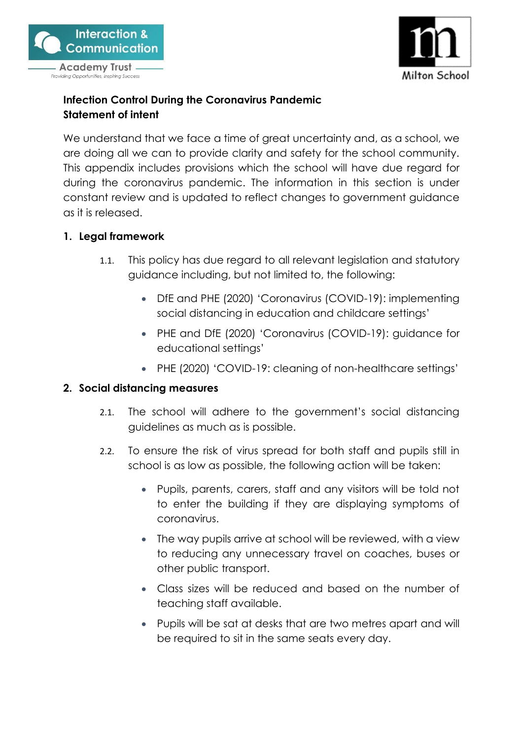



# **Infection Control During the Coronavirus Pandemic Statement of intent**

We understand that we face a time of great uncertainty and, as a school, we are doing all we can to provide clarity and safety for the school community. This appendix includes provisions which the school will have due regard for during the coronavirus pandemic. The information in this section is under constant review and is updated to reflect changes to government guidance as it is released.

## **1. Legal framework**

- 1.1. This policy has due regard to all relevant legislation and statutory guidance including, but not limited to, the following:
	- DfE and PHE (2020) 'Coronavirus (COVID-19): implementing social distancing in education and childcare settings'
	- PHE and DfE (2020) 'Coronavirus (COVID-19): guidance for educational settings'
	- PHE (2020) 'COVID-19: cleaning of non-healthcare settings'

#### **2. Social distancing measures**

- 2.1. The school will adhere to the government's social distancing guidelines as much as is possible.
- 2.2. To ensure the risk of virus spread for both staff and pupils still in school is as low as possible, the following action will be taken:
	- Pupils, parents, carers, staff and any visitors will be told not to enter the building if they are displaying symptoms of coronavirus.
	- The way pupils arrive at school will be reviewed, with a view to reducing any unnecessary travel on coaches, buses or other public transport.
	- Class sizes will be reduced and based on the number of teaching staff available.
	- Pupils will be sat at desks that are two metres apart and will be required to sit in the same seats every day.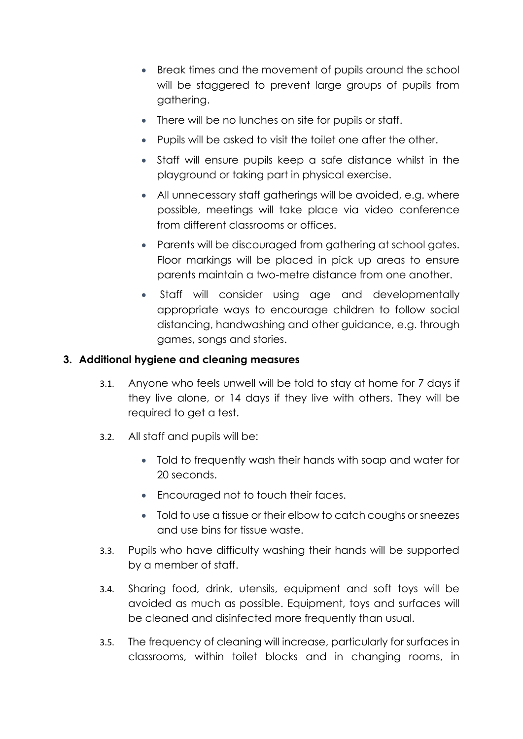- Break times and the movement of pupils around the school will be staggered to prevent large groups of pupils from gathering.
- There will be no lunches on site for pupils or staff.
- Pupils will be asked to visit the toilet one after the other.
- Staff will ensure pupils keep a safe distance whilst in the playground or taking part in physical exercise.
- All unnecessary staff gatherings will be avoided, e.g. where possible, meetings will take place via video conference from different classrooms or offices.
- Parents will be discouraged from gathering at school gates. Floor markings will be placed in pick up areas to ensure parents maintain a two-metre distance from one another.
- Staff will consider using age and developmentally appropriate ways to encourage children to follow social distancing, handwashing and other guidance, e.g. through games, songs and stories.

# **3. Additional hygiene and cleaning measures**

- 3.1. Anyone who feels unwell will be told to stay at home for 7 days if they live alone, or 14 days if they live with others. They will be required to get a test.
- 3.2. All staff and pupils will be:
	- Told to frequently wash their hands with soap and water for 20 seconds.
	- Encouraged not to touch their faces.
	- Told to use a tissue or their elbow to catch coughs or sneezes and use bins for tissue waste.
- 3.3. Pupils who have difficulty washing their hands will be supported by a member of staff.
- 3.4. Sharing food, drink, utensils, equipment and soft toys will be avoided as much as possible. Equipment, toys and surfaces will be cleaned and disinfected more frequently than usual.
- 3.5. The frequency of cleaning will increase, particularly for surfaces in classrooms, within toilet blocks and in changing rooms, in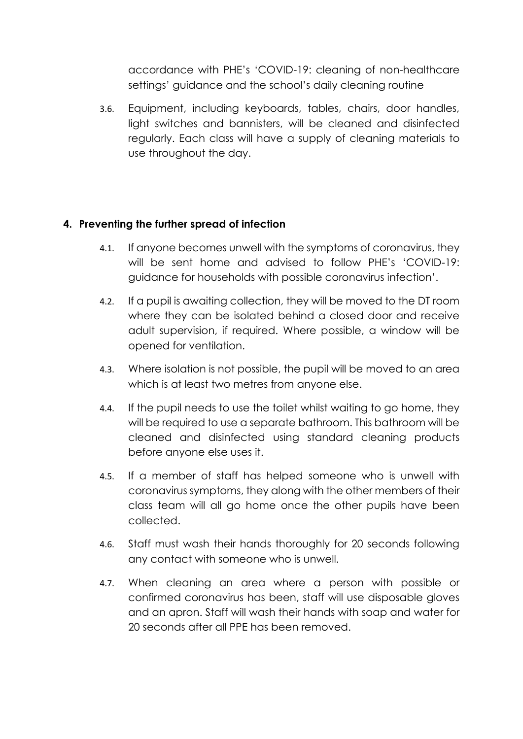accordance with PHE's 'COVID-19: cleaning of non-healthcare settings' guidance and the school's daily cleaning routine

3.6. Equipment, including keyboards, tables, chairs, door handles, light switches and bannisters, will be cleaned and disinfected regularly. Each class will have a supply of cleaning materials to use throughout the day.

## **4. Preventing the further spread of infection**

- 4.1. If anyone becomes unwell with the symptoms of coronavirus, they will be sent home and advised to follow PHE's 'COVID-19: guidance for households with possible coronavirus infection'.
- 4.2. If a pupil is awaiting collection, they will be moved to the DT room where they can be isolated behind a closed door and receive adult supervision, if required. Where possible, a window will be opened for ventilation.
- 4.3. Where isolation is not possible, the pupil will be moved to an area which is at least two metres from anyone else.
- 4.4. If the pupil needs to use the toilet whilst waiting to go home, they will be required to use a separate bathroom. This bathroom will be cleaned and disinfected using standard cleaning products before anyone else uses it.
- 4.5. If a member of staff has helped someone who is unwell with coronavirus symptoms, they along with the other members of their class team will all go home once the other pupils have been collected.
- 4.6. Staff must wash their hands thoroughly for 20 seconds following any contact with someone who is unwell.
- 4.7. When cleaning an area where a person with possible or confirmed coronavirus has been, staff will use disposable gloves and an apron. Staff will wash their hands with soap and water for 20 seconds after all PPE has been removed.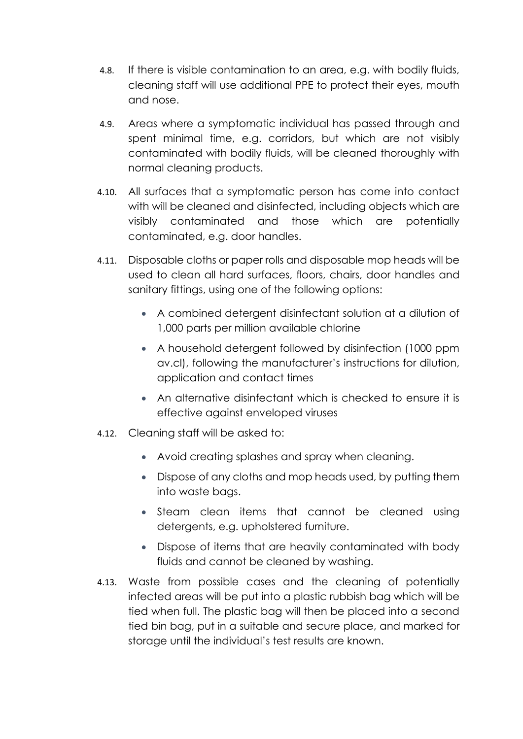- 4.8. If there is visible contamination to an area, e.g. with bodily fluids, cleaning staff will use additional PPE to protect their eyes, mouth and nose.
- 4.9. Areas where a symptomatic individual has passed through and spent minimal time, e.g. corridors, but which are not visibly contaminated with bodily fluids, will be cleaned thoroughly with normal cleaning products.
- 4.10. All surfaces that a symptomatic person has come into contact with will be cleaned and disinfected, including objects which are visibly contaminated and those which are potentially contaminated, e.g. door handles.
- 4.11. Disposable cloths or paper rolls and disposable mop heads will be used to clean all hard surfaces, floors, chairs, door handles and sanitary fittings, using one of the following options:
	- A combined detergent disinfectant solution at a dilution of 1,000 parts per million available chlorine
	- A household detergent followed by disinfection (1000 ppm av.cl), following the manufacturer's instructions for dilution, application and contact times
	- An alternative disinfectant which is checked to ensure it is effective against enveloped viruses
- 4.12. Cleaning staff will be asked to:
	- Avoid creating splashes and spray when cleaning.
	- Dispose of any cloths and mop heads used, by putting them into waste bags.
	- Steam clean items that cannot be cleaned using detergents, e.g. upholstered furniture.
	- Dispose of items that are heavily contaminated with body fluids and cannot be cleaned by washing.
- 4.13. Waste from possible cases and the cleaning of potentially infected areas will be put into a plastic rubbish bag which will be tied when full. The plastic bag will then be placed into a second tied bin bag, put in a suitable and secure place, and marked for storage until the individual's test results are known.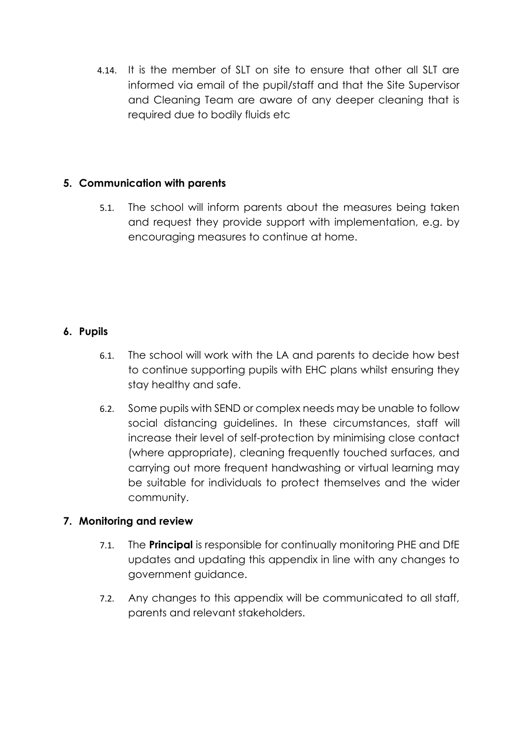4.14. It is the member of SLT on site to ensure that other all SLT are informed via email of the pupil/staff and that the Site Supervisor and Cleaning Team are aware of any deeper cleaning that is required due to bodily fluids etc

# **5. Communication with parents**

5.1. The school will inform parents about the measures being taken and request they provide support with implementation, e.g. by encouraging measures to continue at home.

## **6. Pupils**

- 6.1. The school will work with the LA and parents to decide how best to continue supporting pupils with EHC plans whilst ensuring they stay healthy and safe.
- 6.2. Some pupils with SEND or complex needs may be unable to follow social distancing guidelines. In these circumstances, staff will increase their level of self-protection by minimising close contact (where appropriate), cleaning frequently touched surfaces, and carrying out more frequent handwashing or virtual learning may be suitable for individuals to protect themselves and the wider community.

# **7. Monitoring and review**

- 7.1. The **Principal** is responsible for continually monitoring PHE and DfE updates and updating this appendix in line with any changes to government guidance.
- 7.2. Any changes to this appendix will be communicated to all staff, parents and relevant stakeholders.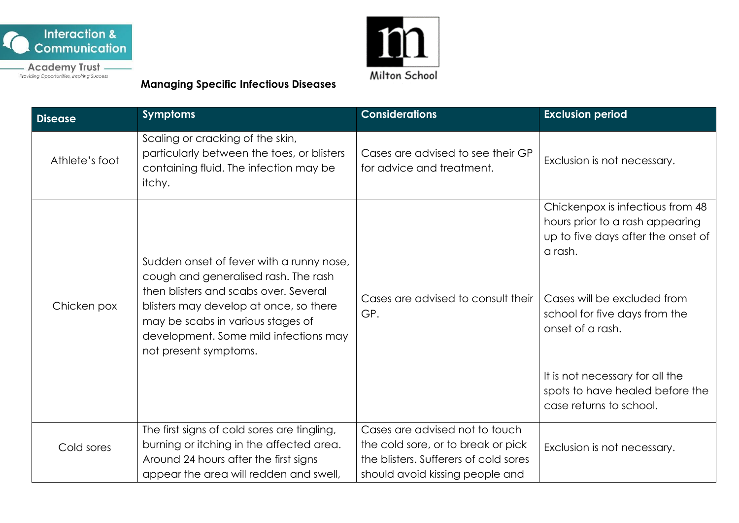



<u>m</u> Milton School

**Managing Specific Infectious Diseases** 

| <b>Disease</b> | <b>Symptoms</b>                                                                                                                                                                        | <b>Considerations</b>                                                       | <b>Exclusion period</b>                                                                                              |
|----------------|----------------------------------------------------------------------------------------------------------------------------------------------------------------------------------------|-----------------------------------------------------------------------------|----------------------------------------------------------------------------------------------------------------------|
| Athlete's foot | Scaling or cracking of the skin,<br>particularly between the toes, or blisters<br>containing fluid. The infection may be<br>itchy.                                                     | Cases are advised to see their GP<br>for advice and treatment.              | Exclusion is not necessary.                                                                                          |
|                | Sudden onset of fever with a runny nose,<br>cough and generalised rash. The rash                                                                                                       |                                                                             | Chickenpox is infectious from 48<br>hours prior to a rash appearing<br>up to five days after the onset of<br>a rash. |
| Chicken pox    | then blisters and scabs over. Several<br>blisters may develop at once, so there<br>may be scabs in various stages of<br>development. Some mild infections may<br>not present symptoms. | Cases are advised to consult their<br>GP.                                   | Cases will be excluded from<br>school for five days from the<br>onset of a rash.                                     |
|                |                                                                                                                                                                                        |                                                                             | It is not necessary for all the<br>spots to have healed before the<br>case returns to school.                        |
|                | The first signs of cold sores are tingling,                                                                                                                                            | Cases are advised not to touch                                              |                                                                                                                      |
| Cold sores     | burning or itching in the affected area.<br>Around 24 hours after the first signs                                                                                                      | the cold sore, or to break or pick<br>the blisters. Sufferers of cold sores | Exclusion is not necessary.                                                                                          |
|                | appear the area will redden and swell,                                                                                                                                                 | should avoid kissing people and                                             |                                                                                                                      |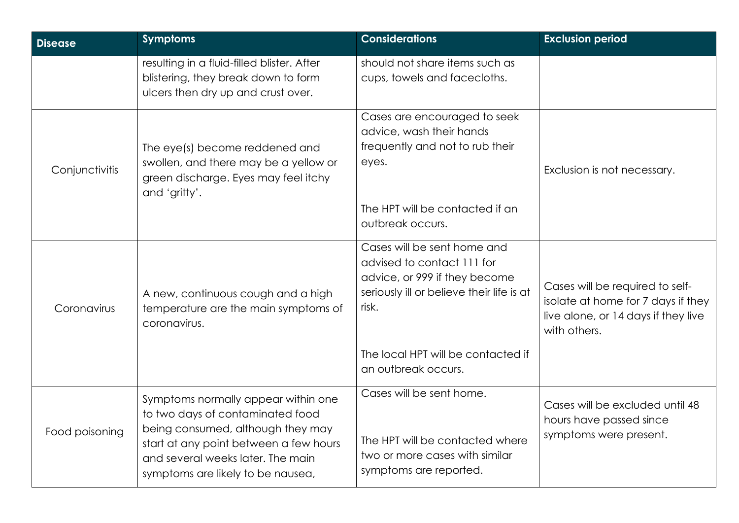| <b>Disease</b> | <b>Symptoms</b>                                                                                                                                                                                                                  | <b>Considerations</b>                                                                                                                                                                                         | <b>Exclusion period</b>                                                                                                      |
|----------------|----------------------------------------------------------------------------------------------------------------------------------------------------------------------------------------------------------------------------------|---------------------------------------------------------------------------------------------------------------------------------------------------------------------------------------------------------------|------------------------------------------------------------------------------------------------------------------------------|
|                | resulting in a fluid-filled blister. After<br>blistering, they break down to form<br>ulcers then dry up and crust over.                                                                                                          | should not share items such as<br>cups, towels and facecloths.                                                                                                                                                |                                                                                                                              |
| Conjunctivitis | The eye(s) become reddened and<br>swollen, and there may be a yellow or<br>green discharge. Eyes may feel itchy<br>and 'gritty'.                                                                                                 | Cases are encouraged to seek<br>advice, wash their hands<br>frequently and not to rub their<br>eyes.<br>The HPT will be contacted if an<br>outbreak occurs.                                                   | Exclusion is not necessary.                                                                                                  |
| Coronavirus    | A new, continuous cough and a high<br>temperature are the main symptoms of<br>coronavirus.                                                                                                                                       | Cases will be sent home and<br>advised to contact 111 for<br>advice, or 999 if they become<br>seriously ill or believe their life is at<br>risk.<br>The local HPT will be contacted if<br>an outbreak occurs. | Cases will be required to self-<br>isolate at home for 7 days if they<br>live alone, or 14 days if they live<br>with others. |
| Food poisoning | Symptoms normally appear within one<br>to two days of contaminated food<br>being consumed, although they may<br>start at any point between a few hours<br>and several weeks later. The main<br>symptoms are likely to be nausea, | Cases will be sent home.<br>The HPT will be contacted where<br>two or more cases with similar<br>symptoms are reported.                                                                                       | Cases will be excluded until 48<br>hours have passed since<br>symptoms were present.                                         |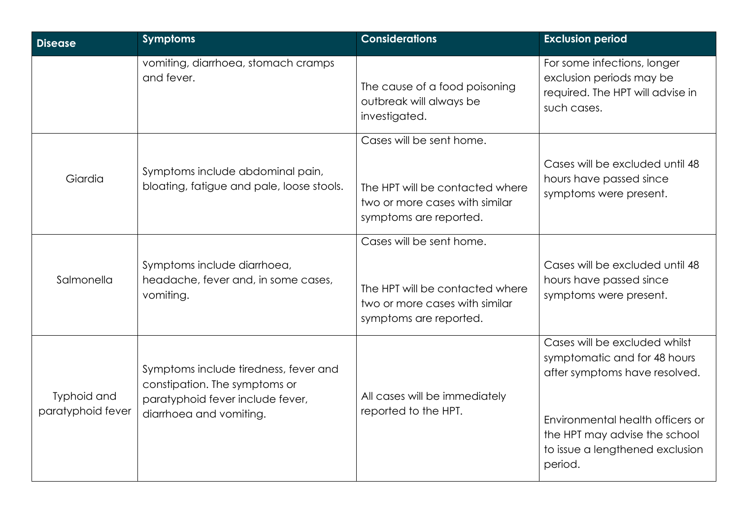| <b>Disease</b>                   | <b>Symptoms</b>                                                                                                                       | <b>Considerations</b>                                                                                                   | <b>Exclusion period</b>                                                                                                                                                                                           |
|----------------------------------|---------------------------------------------------------------------------------------------------------------------------------------|-------------------------------------------------------------------------------------------------------------------------|-------------------------------------------------------------------------------------------------------------------------------------------------------------------------------------------------------------------|
|                                  | vomiting, diarrhoea, stomach cramps<br>and fever.                                                                                     | The cause of a food poisoning<br>outbreak will always be<br>investigated.                                               | For some infections, longer<br>exclusion periods may be<br>required. The HPT will advise in<br>such cases.                                                                                                        |
| Giardia                          | Symptoms include abdominal pain,<br>bloating, fatigue and pale, loose stools.                                                         | Cases will be sent home.<br>The HPT will be contacted where<br>two or more cases with similar<br>symptoms are reported. | Cases will be excluded until 48<br>hours have passed since<br>symptoms were present.                                                                                                                              |
| Salmonella                       | Symptoms include diarrhoea,<br>headache, fever and, in some cases,<br>vomiting.                                                       | Cases will be sent home.<br>The HPT will be contacted where<br>two or more cases with similar<br>symptoms are reported. | Cases will be excluded until 48<br>hours have passed since<br>symptoms were present.                                                                                                                              |
| Typhoid and<br>paratyphoid fever | Symptoms include tiredness, fever and<br>constipation. The symptoms or<br>paratyphoid fever include fever,<br>diarrhoea and vomiting. | All cases will be immediately<br>reported to the HPT.                                                                   | Cases will be excluded whilst<br>symptomatic and for 48 hours<br>after symptoms have resolved.<br>Environmental health officers or<br>the HPT may advise the school<br>to issue a lengthened exclusion<br>period. |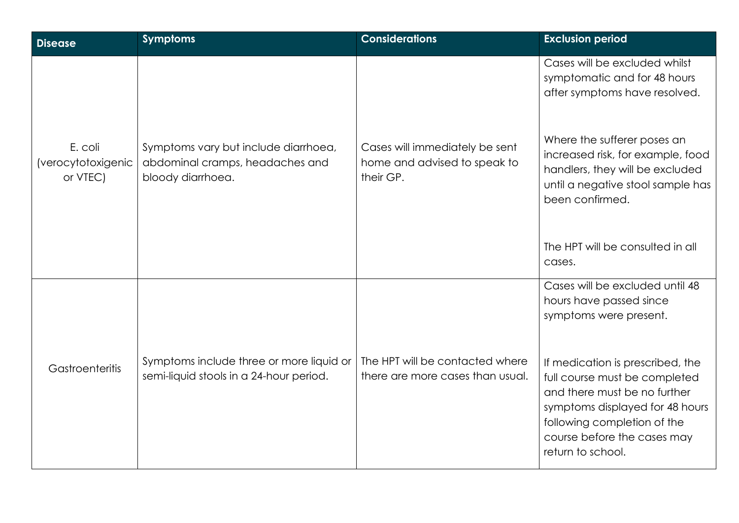| <b>Disease</b>                            | <b>Symptoms</b>                                                                              | <b>Considerations</b>                                                       | <b>Exclusion period</b>                                                                                                                                                                                                 |
|-------------------------------------------|----------------------------------------------------------------------------------------------|-----------------------------------------------------------------------------|-------------------------------------------------------------------------------------------------------------------------------------------------------------------------------------------------------------------------|
|                                           |                                                                                              |                                                                             | Cases will be excluded whilst<br>symptomatic and for 48 hours<br>after symptoms have resolved.                                                                                                                          |
| E. coli<br>(verocytotoxigenic<br>or VTEC) | Symptoms vary but include diarrhoea,<br>abdominal cramps, headaches and<br>bloody diarrhoea. | Cases will immediately be sent<br>home and advised to speak to<br>their GP. | Where the sufferer poses an<br>increased risk, for example, food<br>handlers, they will be excluded<br>until a negative stool sample has<br>been confirmed.                                                             |
|                                           |                                                                                              |                                                                             | The HPT will be consulted in all<br>cases.                                                                                                                                                                              |
|                                           |                                                                                              |                                                                             | Cases will be excluded until 48<br>hours have passed since<br>symptoms were present.                                                                                                                                    |
| Gastroenteritis                           | Symptoms include three or more liquid or<br>semi-liquid stools in a 24-hour period.          | The HPT will be contacted where<br>there are more cases than usual.         | If medication is prescribed, the<br>full course must be completed<br>and there must be no further<br>symptoms displayed for 48 hours<br>following completion of the<br>course before the cases may<br>return to school. |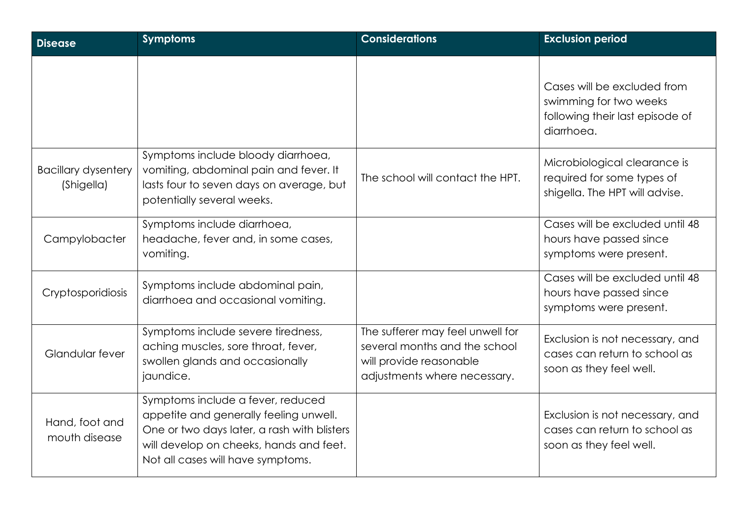| <b>Disease</b>                           | <b>Symptoms</b>                                                                                                                                                                                            | <b>Considerations</b>                                                                                                        | <b>Exclusion period</b>                                                                                |
|------------------------------------------|------------------------------------------------------------------------------------------------------------------------------------------------------------------------------------------------------------|------------------------------------------------------------------------------------------------------------------------------|--------------------------------------------------------------------------------------------------------|
|                                          |                                                                                                                                                                                                            |                                                                                                                              | Cases will be excluded from<br>swimming for two weeks<br>following their last episode of<br>diarrhoea. |
| <b>Bacillary dysentery</b><br>(Shigella) | Symptoms include bloody diarrhoea,<br>vomiting, abdominal pain and fever. It<br>lasts four to seven days on average, but<br>potentially several weeks.                                                     | The school will contact the HPT.                                                                                             | Microbiological clearance is<br>required for some types of<br>shigella. The HPT will advise.           |
| Campylobacter                            | Symptoms include diarrhoea,<br>headache, fever and, in some cases,<br>vomiting.                                                                                                                            |                                                                                                                              | Cases will be excluded until 48<br>hours have passed since<br>symptoms were present.                   |
| Cryptosporidiosis                        | Symptoms include abdominal pain,<br>diarrhoea and occasional vomiting.                                                                                                                                     |                                                                                                                              | Cases will be excluded until 48<br>hours have passed since<br>symptoms were present.                   |
| Glandular fever                          | Symptoms include severe tiredness,<br>aching muscles, sore throat, fever,<br>swollen glands and occasionally<br>jaundice.                                                                                  | The sufferer may feel unwell for<br>several months and the school<br>will provide reasonable<br>adjustments where necessary. | Exclusion is not necessary, and<br>cases can return to school as<br>soon as they feel well.            |
| Hand, foot and<br>mouth disease          | Symptoms include a fever, reduced<br>appetite and generally feeling unwell.<br>One or two days later, a rash with blisters<br>will develop on cheeks, hands and feet.<br>Not all cases will have symptoms. |                                                                                                                              | Exclusion is not necessary, and<br>cases can return to school as<br>soon as they feel well.            |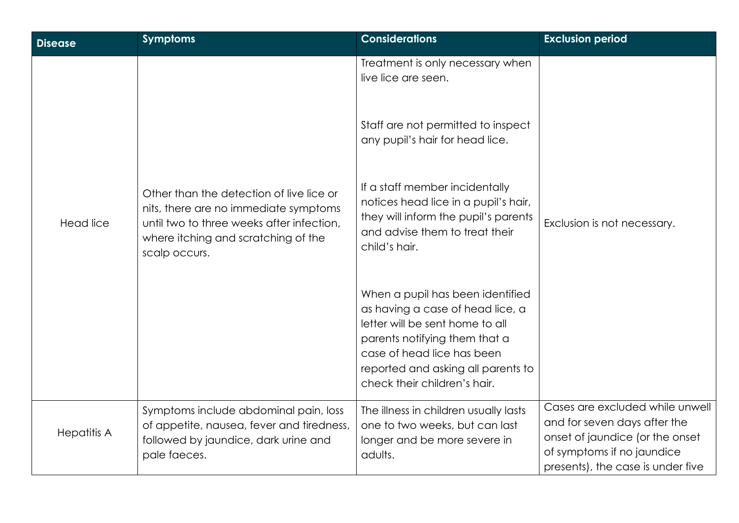| <b>Disease</b>     | <b>Symptoms</b>                                                                                                                                                                        | <b>Considerations</b>                                                                                                                                                                                                                        | <b>Exclusion period</b>                                                                                                                                               |
|--------------------|----------------------------------------------------------------------------------------------------------------------------------------------------------------------------------------|----------------------------------------------------------------------------------------------------------------------------------------------------------------------------------------------------------------------------------------------|-----------------------------------------------------------------------------------------------------------------------------------------------------------------------|
|                    | Other than the detection of live lice or<br>nits, there are no immediate symptoms<br>until two to three weeks after infection,<br>where itching and scratching of the<br>scalp occurs. | Treatment is only necessary when<br>live lice are seen.                                                                                                                                                                                      |                                                                                                                                                                       |
| <b>Head lice</b>   |                                                                                                                                                                                        | Staff are not permitted to inspect<br>any pupil's hair for head lice.                                                                                                                                                                        |                                                                                                                                                                       |
|                    |                                                                                                                                                                                        | If a staff member incidentally<br>notices head lice in a pupil's hair,<br>they will inform the pupil's parents<br>and advise them to treat their<br>child's hair.                                                                            | Exclusion is not necessary.                                                                                                                                           |
|                    |                                                                                                                                                                                        | When a pupil has been identified<br>as having a case of head lice, a<br>letter will be sent home to all<br>parents notifying them that a<br>case of head lice has been<br>reported and asking all parents to<br>check their children's hair. |                                                                                                                                                                       |
| <b>Hepatitis A</b> | Symptoms include abdominal pain, loss<br>of appetite, nausea, fever and tiredness,<br>followed by jaundice, dark urine and<br>pale faeces.                                             | The illness in children usually lasts<br>one to two weeks, but can last<br>longer and be more severe in<br>adults.                                                                                                                           | Cases are excluded while unwell<br>and for seven days after the<br>onset of jaundice (or the onset<br>of symptoms if no jaundice<br>presents), the case is under five |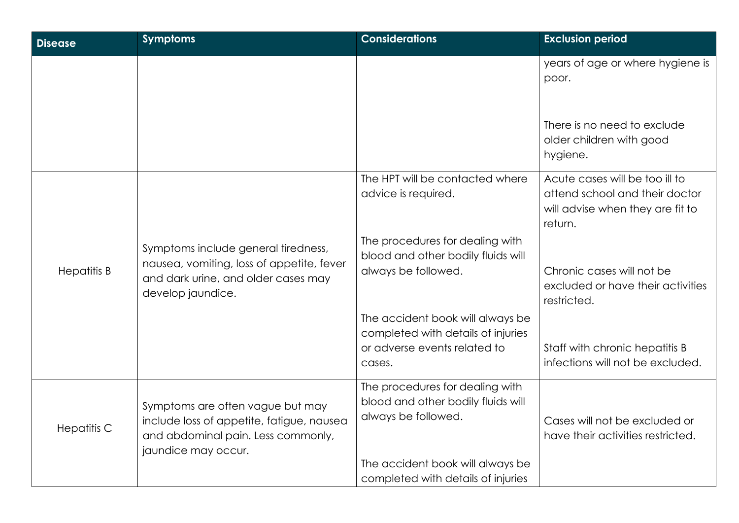| <b>Disease</b>     | <b>Symptoms</b>                                                                                                                              | <b>Considerations</b>                                                                                                            | <b>Exclusion period</b>                                                                                         |
|--------------------|----------------------------------------------------------------------------------------------------------------------------------------------|----------------------------------------------------------------------------------------------------------------------------------|-----------------------------------------------------------------------------------------------------------------|
|                    |                                                                                                                                              |                                                                                                                                  | years of age or where hygiene is<br>poor.                                                                       |
|                    |                                                                                                                                              |                                                                                                                                  | There is no need to exclude<br>older children with good<br>hygiene.                                             |
|                    |                                                                                                                                              | The HPT will be contacted where<br>advice is required.                                                                           | Acute cases will be too ill to<br>attend school and their doctor<br>will advise when they are fit to<br>return. |
| <b>Hepatitis B</b> | Symptoms include general tiredness,<br>nausea, vomiting, loss of appetite, fever<br>and dark urine, and older cases may<br>develop jaundice. | The procedures for dealing with<br>blood and other bodily fluids will<br>always be followed.                                     | Chronic cases will not be<br>excluded or have their activities<br>restricted.                                   |
|                    |                                                                                                                                              | The accident book will always be<br>completed with details of injuries<br>or adverse events related to<br>cases.                 | Staff with chronic hepatitis B<br>infections will not be excluded.                                              |
| <b>Hepatitis C</b> | Symptoms are often vague but may<br>include loss of appetite, fatigue, nausea<br>and abdominal pain. Less commonly,<br>jaundice may occur.   | The procedures for dealing with<br>blood and other bodily fluids will<br>always be followed.<br>The accident book will always be | Cases will not be excluded or<br>have their activities restricted.                                              |
|                    |                                                                                                                                              | completed with details of injuries                                                                                               |                                                                                                                 |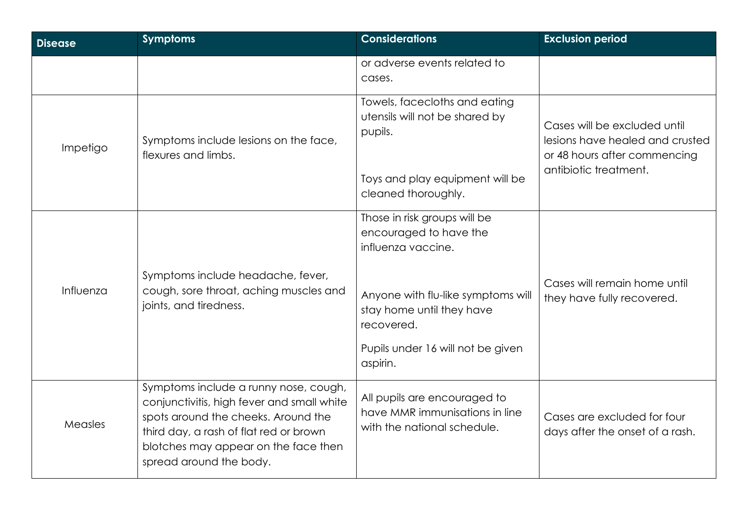| <b>Disease</b> | <b>Symptoms</b>                                                                                                                                                                                                                         | <b>Considerations</b>                                                                         | <b>Exclusion period</b>                                                                         |
|----------------|-----------------------------------------------------------------------------------------------------------------------------------------------------------------------------------------------------------------------------------------|-----------------------------------------------------------------------------------------------|-------------------------------------------------------------------------------------------------|
|                |                                                                                                                                                                                                                                         | or adverse events related to<br>cases.                                                        |                                                                                                 |
| Impetigo       | Symptoms include lesions on the face,<br>flexures and limbs.                                                                                                                                                                            | Towels, facecloths and eating<br>utensils will not be shared by<br>pupils.                    | Cases will be excluded until<br>lesions have healed and crusted<br>or 48 hours after commencing |
|                |                                                                                                                                                                                                                                         | Toys and play equipment will be<br>cleaned thoroughly.                                        | antibiotic treatment.                                                                           |
|                |                                                                                                                                                                                                                                         | Those in risk groups will be<br>encouraged to have the<br>influenza vaccine.                  |                                                                                                 |
| Influenza      | Symptoms include headache, fever,<br>cough, sore throat, aching muscles and<br>joints, and tiredness.                                                                                                                                   | Anyone with flu-like symptoms will<br>stay home until they have<br>recovered.                 | Cases will remain home until<br>they have fully recovered.                                      |
|                |                                                                                                                                                                                                                                         | Pupils under 16 will not be given<br>aspirin.                                                 |                                                                                                 |
| Measles        | Symptoms include a runny nose, cough,<br>conjunctivitis, high fever and small white<br>spots around the cheeks. Around the<br>third day, a rash of flat red or brown<br>blotches may appear on the face then<br>spread around the body. | All pupils are encouraged to<br>have MMR immunisations in line<br>with the national schedule. | Cases are excluded for four<br>days after the onset of a rash.                                  |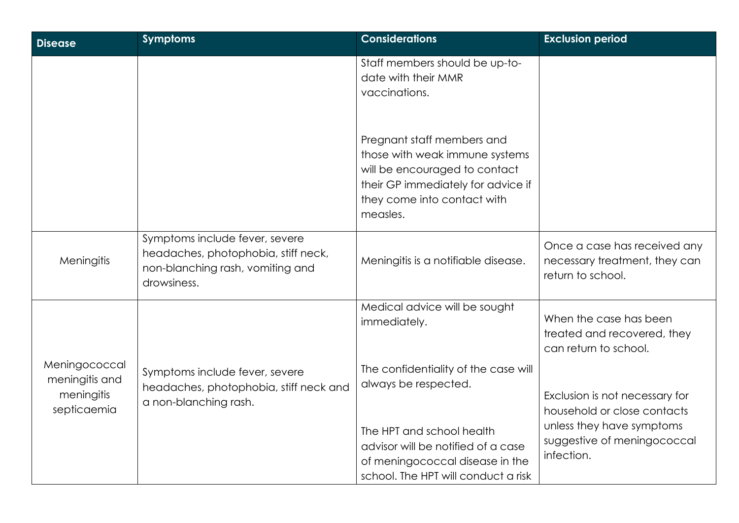| <b>Disease</b>                                               | <b>Symptoms</b>                                                                                                          | <b>Considerations</b>                                                                                                                                                          | <b>Exclusion period</b>                                                                                                                 |
|--------------------------------------------------------------|--------------------------------------------------------------------------------------------------------------------------|--------------------------------------------------------------------------------------------------------------------------------------------------------------------------------|-----------------------------------------------------------------------------------------------------------------------------------------|
|                                                              |                                                                                                                          | Staff members should be up-to-<br>date with their MMR<br>vaccinations.                                                                                                         |                                                                                                                                         |
|                                                              |                                                                                                                          | Pregnant staff members and<br>those with weak immune systems<br>will be encouraged to contact<br>their GP immediately for advice if<br>they come into contact with<br>measles. |                                                                                                                                         |
| Meningitis                                                   | Symptoms include fever, severe<br>headaches, photophobia, stiff neck,<br>non-blanching rash, vomiting and<br>drowsiness. | Meningitis is a notifiable disease.                                                                                                                                            | Once a case has received any<br>necessary treatment, they can<br>return to school.                                                      |
|                                                              |                                                                                                                          | Medical advice will be sought<br>immediately.                                                                                                                                  | When the case has been<br>treated and recovered, they<br>can return to school.                                                          |
| Meningococcal<br>meningitis and<br>meningitis<br>septicaemia | Symptoms include fever, severe<br>headaches, photophobia, stiff neck and<br>a non-blanching rash.                        | The confidentiality of the case will<br>always be respected.<br>The HPT and school health                                                                                      | Exclusion is not necessary for<br>household or close contacts<br>unless they have symptoms<br>suggestive of meningococcal<br>infection. |
|                                                              |                                                                                                                          | advisor will be notified of a case<br>of meningococcal disease in the<br>school. The HPT will conduct a risk                                                                   |                                                                                                                                         |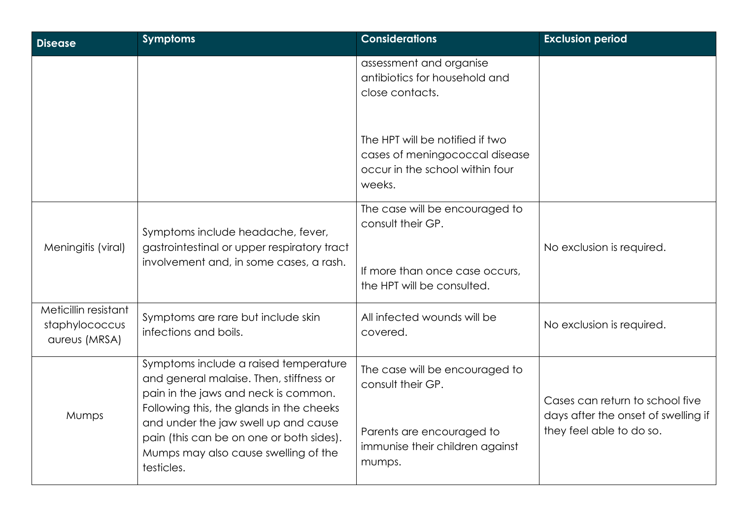| <b>Disease</b>                                          | <b>Symptoms</b>                                                                                                                                                                                                                                                                                                | <b>Considerations</b>                                                                                                         | <b>Exclusion period</b>                                                                            |
|---------------------------------------------------------|----------------------------------------------------------------------------------------------------------------------------------------------------------------------------------------------------------------------------------------------------------------------------------------------------------------|-------------------------------------------------------------------------------------------------------------------------------|----------------------------------------------------------------------------------------------------|
|                                                         |                                                                                                                                                                                                                                                                                                                | assessment and organise<br>antibiotics for household and<br>close contacts.                                                   |                                                                                                    |
|                                                         |                                                                                                                                                                                                                                                                                                                | The HPT will be notified if two<br>cases of meningococcal disease<br>occur in the school within four<br>weeks.                |                                                                                                    |
| Meningitis (viral)                                      | Symptoms include headache, fever,<br>gastrointestinal or upper respiratory tract<br>involvement and, in some cases, a rash.                                                                                                                                                                                    | The case will be encouraged to<br>consult their GP.<br>If more than once case occurs,<br>the HPT will be consulted.           | No exclusion is required.                                                                          |
| Meticillin resistant<br>staphylococcus<br>aureus (MRSA) | Symptoms are rare but include skin<br>infections and boils.                                                                                                                                                                                                                                                    | All infected wounds will be<br>covered.                                                                                       | No exclusion is required.                                                                          |
| Mumps                                                   | Symptoms include a raised temperature<br>and general malaise. Then, stiffness or<br>pain in the jaws and neck is common.<br>Following this, the glands in the cheeks<br>and under the jaw swell up and cause<br>pain (this can be on one or both sides).<br>Mumps may also cause swelling of the<br>testicles. | The case will be encouraged to<br>consult their GP.<br>Parents are encouraged to<br>immunise their children against<br>mumps. | Cases can return to school five<br>days after the onset of swelling if<br>they feel able to do so. |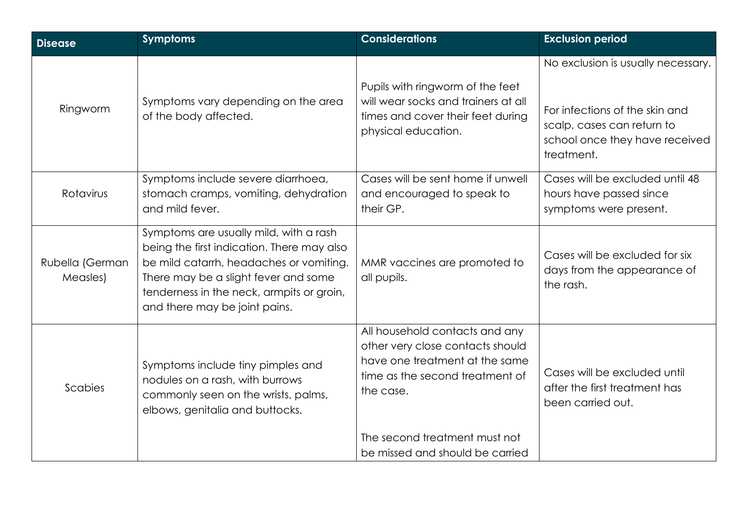| <b>Disease</b>              | <b>Symptoms</b>                                                                                                                                                                                                                                       | <b>Considerations</b>                                                                                                                                                                 | <b>Exclusion period</b>                                                                                                                            |
|-----------------------------|-------------------------------------------------------------------------------------------------------------------------------------------------------------------------------------------------------------------------------------------------------|---------------------------------------------------------------------------------------------------------------------------------------------------------------------------------------|----------------------------------------------------------------------------------------------------------------------------------------------------|
| Ringworm                    | Symptoms vary depending on the area<br>of the body affected.                                                                                                                                                                                          | Pupils with ringworm of the feet<br>will wear socks and trainers at all<br>times and cover their feet during<br>physical education.                                                   | No exclusion is usually necessary.<br>For infections of the skin and<br>scalp, cases can return to<br>school once they have received<br>treatment. |
| Rotavirus                   | Symptoms include severe diarrhoea,<br>stomach cramps, vomiting, dehydration<br>and mild fever.                                                                                                                                                        | Cases will be sent home if unwell<br>and encouraged to speak to<br>their GP.                                                                                                          | Cases will be excluded until 48<br>hours have passed since<br>symptoms were present.                                                               |
| Rubella (German<br>Measles) | Symptoms are usually mild, with a rash<br>being the first indication. There may also<br>be mild catarrh, headaches or vomiting.<br>There may be a slight fever and some<br>tenderness in the neck, armpits or groin,<br>and there may be joint pains. | MMR vaccines are promoted to<br>all pupils.                                                                                                                                           | Cases will be excluded for six<br>days from the appearance of<br>the rash.                                                                         |
| Scabies                     | Symptoms include tiny pimples and<br>nodules on a rash, with burrows<br>commonly seen on the wrists, palms,<br>elbows, genitalia and buttocks.                                                                                                        | All household contacts and any<br>other very close contacts should<br>have one treatment at the same<br>time as the second treatment of<br>the case.<br>The second treatment must not | Cases will be excluded until<br>after the first treatment has<br>been carried out.                                                                 |
|                             |                                                                                                                                                                                                                                                       | be missed and should be carried                                                                                                                                                       |                                                                                                                                                    |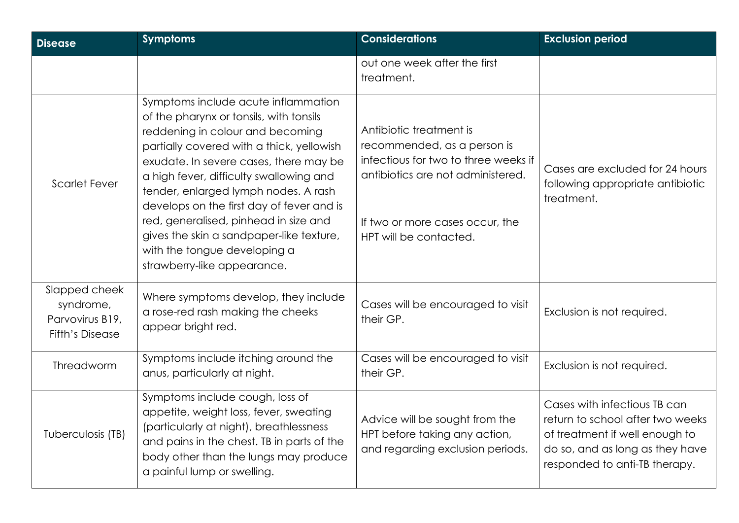| <b>Disease</b>                                                          | <b>Symptoms</b>                                                                                                                                                                                                                                                                                                                                                                                                                                                                               | <b>Considerations</b>                                                                                                                                                                            | <b>Exclusion period</b>                                                                                                                                                |
|-------------------------------------------------------------------------|-----------------------------------------------------------------------------------------------------------------------------------------------------------------------------------------------------------------------------------------------------------------------------------------------------------------------------------------------------------------------------------------------------------------------------------------------------------------------------------------------|--------------------------------------------------------------------------------------------------------------------------------------------------------------------------------------------------|------------------------------------------------------------------------------------------------------------------------------------------------------------------------|
|                                                                         |                                                                                                                                                                                                                                                                                                                                                                                                                                                                                               | out one week after the first<br>treatment.                                                                                                                                                       |                                                                                                                                                                        |
| <b>Scarlet Fever</b>                                                    | Symptoms include acute inflammation<br>of the pharynx or tonsils, with tonsils<br>reddening in colour and becoming<br>partially covered with a thick, yellowish<br>exudate. In severe cases, there may be<br>a high fever, difficulty swallowing and<br>tender, enlarged lymph nodes. A rash<br>develops on the first day of fever and is<br>red, generalised, pinhead in size and<br>gives the skin a sandpaper-like texture,<br>with the tongue developing a<br>strawberry-like appearance. | Antibiotic treatment is<br>recommended, as a person is<br>infectious for two to three weeks if<br>antibiotics are not administered.<br>If two or more cases occur, the<br>HPT will be contacted. | Cases are excluded for 24 hours<br>following appropriate antibiotic<br>treatment.                                                                                      |
| Slapped cheek<br>syndrome,<br>Parvovirus B19,<br><b>Fifth's Disease</b> | Where symptoms develop, they include<br>a rose-red rash making the cheeks<br>appear bright red.                                                                                                                                                                                                                                                                                                                                                                                               | Cases will be encouraged to visit<br>their GP.                                                                                                                                                   | Exclusion is not required.                                                                                                                                             |
| Threadworm                                                              | Symptoms include itching around the<br>anus, particularly at night.                                                                                                                                                                                                                                                                                                                                                                                                                           | Cases will be encouraged to visit<br>their GP.                                                                                                                                                   | Exclusion is not required.                                                                                                                                             |
| Tuberculosis (TB)                                                       | Symptoms include cough, loss of<br>appetite, weight loss, fever, sweating<br>(particularly at night), breathlessness<br>and pains in the chest. TB in parts of the<br>body other than the lungs may produce<br>a painful lump or swelling.                                                                                                                                                                                                                                                    | Advice will be sought from the<br>HPT before taking any action,<br>and regarding exclusion periods.                                                                                              | Cases with infectious TB can<br>return to school after two weeks<br>of treatment if well enough to<br>do so, and as long as they have<br>responded to anti-TB therapy. |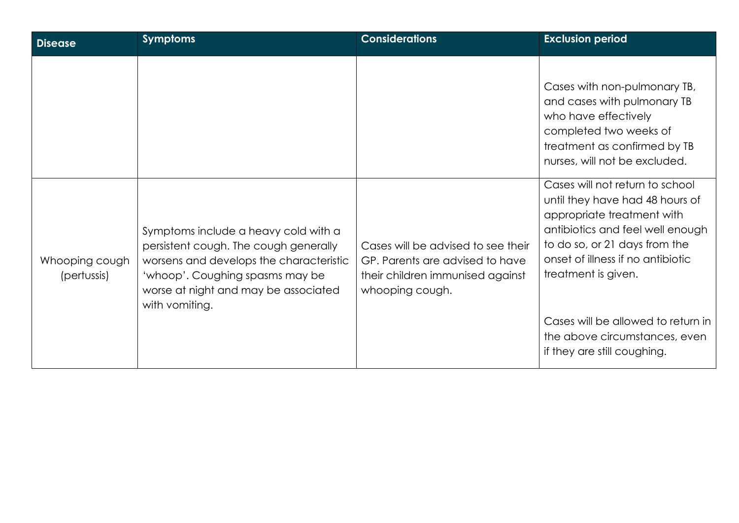| <b>Disease</b>                | <b>Symptoms</b>                                                                                                                                                                                                       | <b>Considerations</b>                                                                                                        | <b>Exclusion period</b>                                                                                                                                                                                                           |
|-------------------------------|-----------------------------------------------------------------------------------------------------------------------------------------------------------------------------------------------------------------------|------------------------------------------------------------------------------------------------------------------------------|-----------------------------------------------------------------------------------------------------------------------------------------------------------------------------------------------------------------------------------|
|                               |                                                                                                                                                                                                                       |                                                                                                                              | Cases with non-pulmonary TB,<br>and cases with pulmonary TB<br>who have effectively<br>completed two weeks of<br>treatment as confirmed by TB<br>nurses, will not be excluded.                                                    |
| Whooping cough<br>(pertussis) | Symptoms include a heavy cold with a<br>persistent cough. The cough generally<br>worsens and develops the characteristic<br>'whoop'. Coughing spasms may be<br>worse at night and may be associated<br>with vomiting. | Cases will be advised to see their<br>GP. Parents are advised to have<br>their children immunised against<br>whooping cough. | Cases will not return to school<br>until they have had 48 hours of<br>appropriate treatment with<br>antibiotics and feel well enough<br>to do so, or 21 days from the<br>onset of illness if no antibiotic<br>treatment is given. |
|                               |                                                                                                                                                                                                                       |                                                                                                                              | Cases will be allowed to return in<br>the above circumstances, even<br>if they are still coughing.                                                                                                                                |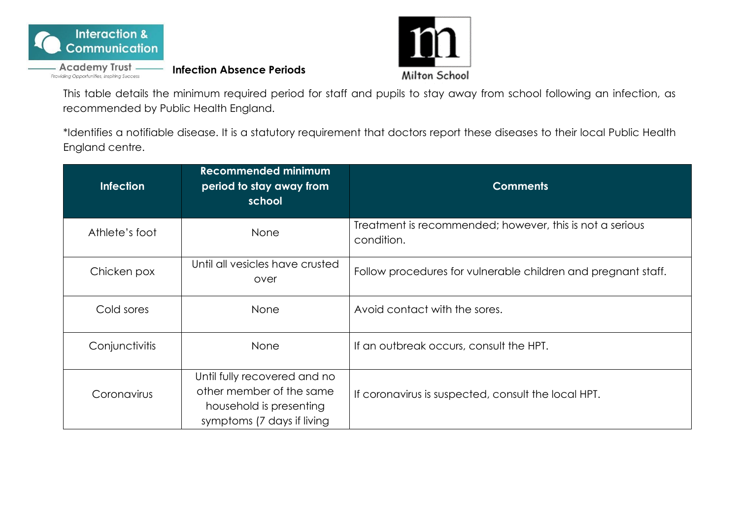

- Academy Trust -

**Infection Absence Periods**



This table details the minimum required period for staff and pupils to stay away from school following an infection, as recommended by Public Health England.

\*Identifies a notifiable disease. It is a statutory requirement that doctors report these diseases to their local Public Health England centre.

| <b>Infection</b> | <b>Recommended minimum</b><br>period to stay away from<br>school                                                  | <b>Comments</b>                                                        |  |
|------------------|-------------------------------------------------------------------------------------------------------------------|------------------------------------------------------------------------|--|
| Athlete's foot   | None                                                                                                              | Treatment is recommended; however, this is not a serious<br>condition. |  |
| Chicken pox      | Until all vesicles have crusted<br>over                                                                           | Follow procedures for vulnerable children and pregnant staff.          |  |
| Cold sores       | None                                                                                                              | Avoid contact with the sores.                                          |  |
| Conjunctivitis   | None                                                                                                              | If an outbreak occurs, consult the HPT.                                |  |
| Coronavirus      | Until fully recovered and no<br>other member of the same<br>household is presenting<br>symptoms (7 days if living | If coronavirus is suspected, consult the local HPT.                    |  |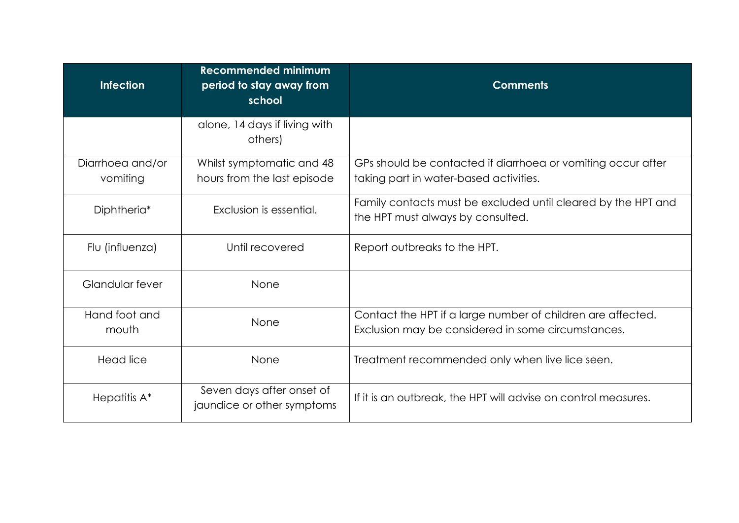| <b>Infection</b>             | <b>Recommended minimum</b><br>period to stay away from<br>school | <b>Comments</b>                                                                                                   |  |
|------------------------------|------------------------------------------------------------------|-------------------------------------------------------------------------------------------------------------------|--|
|                              | alone, 14 days if living with<br>others)                         |                                                                                                                   |  |
| Diarrhoea and/or<br>vomiting | Whilst symptomatic and 48<br>hours from the last episode         | GPs should be contacted if diarrhoea or vomiting occur after<br>taking part in water-based activities.            |  |
| Diphtheria <sup>*</sup>      | Exclusion is essential.                                          | Family contacts must be excluded until cleared by the HPT and<br>the HPT must always by consulted.                |  |
| Flu (influenza)              | Until recovered                                                  | Report outbreaks to the HPT.                                                                                      |  |
| Glandular fever              | None                                                             |                                                                                                                   |  |
| Hand foot and<br>mouth       | None                                                             | Contact the HPT if a large number of children are affected.<br>Exclusion may be considered in some circumstances. |  |
| Head lice                    | None                                                             | Treatment recommended only when live lice seen.                                                                   |  |
| Hepatitis A*                 | Seven days after onset of<br>jaundice or other symptoms          | If it is an outbreak, the HPT will advise on control measures.                                                    |  |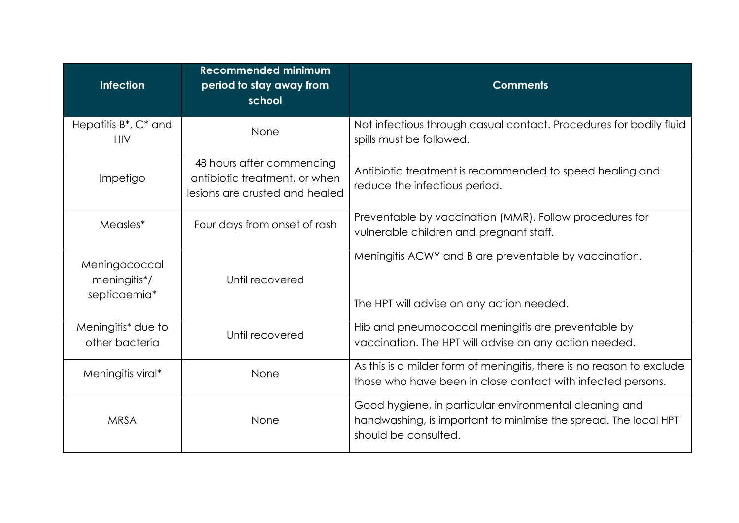| <b>Infection</b>                                            | <b>Recommended minimum</b><br>period to stay away from<br>school                             | <b>Comments</b>                                                                                                                                   |  |
|-------------------------------------------------------------|----------------------------------------------------------------------------------------------|---------------------------------------------------------------------------------------------------------------------------------------------------|--|
| Hepatitis B <sup>*</sup> , C <sup>*</sup> and<br><b>HIV</b> | None                                                                                         | Not infectious through casual contact. Procedures for bodily fluid<br>spills must be followed.                                                    |  |
| Impetigo                                                    | 48 hours after commencing<br>antibiotic treatment, or when<br>lesions are crusted and healed | Antibiotic treatment is recommended to speed healing and<br>reduce the infectious period.                                                         |  |
| Measles*                                                    | Four days from onset of rash                                                                 | Preventable by vaccination (MMR). Follow procedures for<br>vulnerable children and pregnant staff.                                                |  |
| Meningococcal<br>meningitis*/<br>septicaemia*               | Until recovered                                                                              | Meningitis ACWY and B are preventable by vaccination.<br>The HPT will advise on any action needed.                                                |  |
| Meningitis <sup>*</sup> due to<br>other bacteria            | Until recovered                                                                              | Hib and pneumococcal meningitis are preventable by<br>vaccination. The HPT will advise on any action needed.                                      |  |
| Meningitis viral*                                           | None                                                                                         | As this is a milder form of meningitis, there is no reason to exclude<br>those who have been in close contact with infected persons.              |  |
| <b>MRSA</b>                                                 | None                                                                                         | Good hygiene, in particular environmental cleaning and<br>handwashing, is important to minimise the spread. The local HPT<br>should be consulted. |  |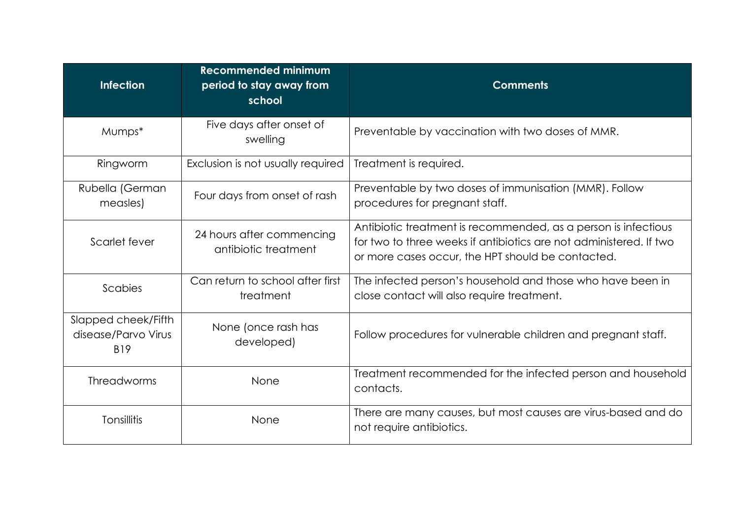| <b>Infection</b>                                         | <b>Recommended minimum</b><br>period to stay away from<br>school | <b>Comments</b>                                                                                                                                                                           |  |
|----------------------------------------------------------|------------------------------------------------------------------|-------------------------------------------------------------------------------------------------------------------------------------------------------------------------------------------|--|
| Mumps*                                                   | Five days after onset of<br>swelling                             | Preventable by vaccination with two doses of MMR.                                                                                                                                         |  |
| Ringworm                                                 | Exclusion is not usually required                                | Treatment is required.                                                                                                                                                                    |  |
| Rubella (German<br>measles)                              | Four days from onset of rash                                     | Preventable by two doses of immunisation (MMR). Follow<br>procedures for pregnant staff.                                                                                                  |  |
| Scarlet fever                                            | 24 hours after commencing<br>antibiotic treatment                | Antibiotic treatment is recommended, as a person is infectious<br>for two to three weeks if antibiotics are not administered. If two<br>or more cases occur, the HPT should be contacted. |  |
| Scabies                                                  | Can return to school after first<br>treatment                    | The infected person's household and those who have been in<br>close contact will also require treatment.                                                                                  |  |
| Slapped cheek/Fifth<br>disease/Parvo Virus<br><b>B19</b> | None (once rash has<br>developed)                                | Follow procedures for vulnerable children and pregnant staff.                                                                                                                             |  |
| <b>Threadworms</b>                                       | None                                                             | Treatment recommended for the infected person and household<br>contacts.                                                                                                                  |  |
| Tonsillitis                                              | None                                                             | There are many causes, but most causes are virus-based and do<br>not require antibiotics.                                                                                                 |  |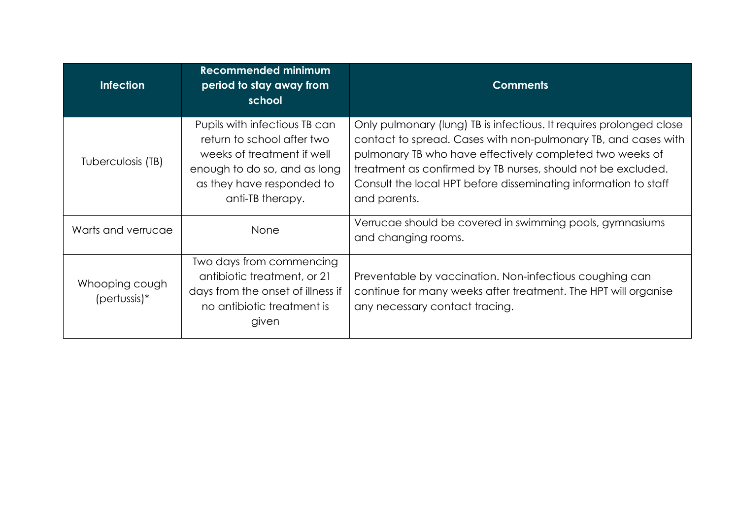| <b>Infection</b>                        | <b>Recommended minimum</b><br>period to stay away from<br>school                                                                                                           | <b>Comments</b>                                                                                                                                                                                                                                                                                                                                      |
|-----------------------------------------|----------------------------------------------------------------------------------------------------------------------------------------------------------------------------|------------------------------------------------------------------------------------------------------------------------------------------------------------------------------------------------------------------------------------------------------------------------------------------------------------------------------------------------------|
| Tuberculosis (TB)                       | Pupils with infectious TB can<br>return to school after two<br>weeks of treatment if well<br>enough to do so, and as long<br>as they have responded to<br>anti-TB therapy. | Only pulmonary (lung) TB is infectious. It requires prolonged close<br>contact to spread. Cases with non-pulmonary TB, and cases with<br>pulmonary TB who have effectively completed two weeks of<br>treatment as confirmed by TB nurses, should not be excluded.<br>Consult the local HPT before disseminating information to staff<br>and parents. |
| Warts and verrucae                      | None                                                                                                                                                                       | Verrucae should be covered in swimming pools, gymnasiums<br>and changing rooms.                                                                                                                                                                                                                                                                      |
| Whooping cough<br>${\rm (pertussis)^*}$ | Two days from commencing<br>antibiotic treatment, or 21<br>days from the onset of illness if<br>no antibiotic treatment is<br>given                                        | Preventable by vaccination. Non-infectious coughing can<br>continue for many weeks after treatment. The HPT will organise<br>any necessary contact tracing.                                                                                                                                                                                          |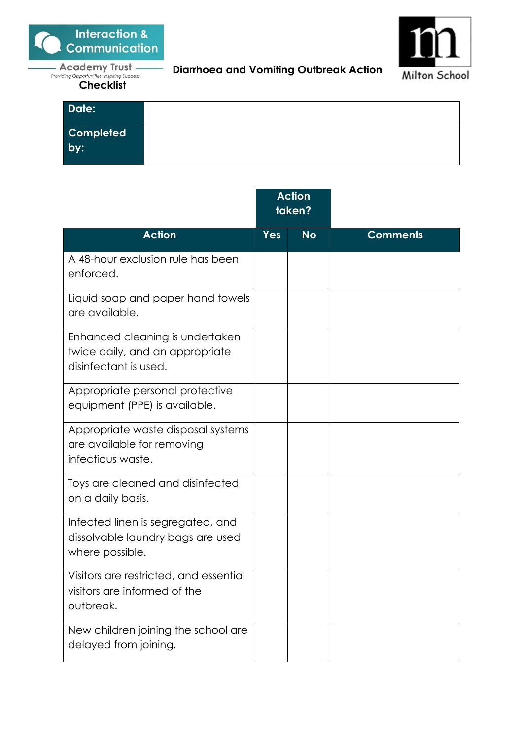

<sup>Providing Opportunities, Inspiring Success<br> **Checklist**</sup>



**Diarrhoea and Vomiting Outbreak Action** 

| Date:            |  |
|------------------|--|
| Completed<br>by: |  |
|                  |  |
|                  |  |

|                                                                                             | <b>Action</b><br>taken? |           |                 |
|---------------------------------------------------------------------------------------------|-------------------------|-----------|-----------------|
| <b>Action</b>                                                                               | <b>Yes</b>              | <b>No</b> | <b>Comments</b> |
| A 48-hour exclusion rule has been<br>enforced.                                              |                         |           |                 |
| Liquid soap and paper hand towels<br>are available.                                         |                         |           |                 |
| Enhanced cleaning is undertaken<br>twice daily, and an appropriate<br>disinfectant is used. |                         |           |                 |
| Appropriate personal protective<br>equipment (PPE) is available.                            |                         |           |                 |
| Appropriate waste disposal systems<br>are available for removing<br>infectious waste.       |                         |           |                 |
| Toys are cleaned and disinfected<br>on a daily basis.                                       |                         |           |                 |
| Infected linen is segregated, and<br>dissolvable laundry bags are used<br>where possible.   |                         |           |                 |
| Visitors are restricted, and essential<br>visitors are informed of the<br>outbreak.         |                         |           |                 |
| New children joining the school are<br>delayed from joining.                                |                         |           |                 |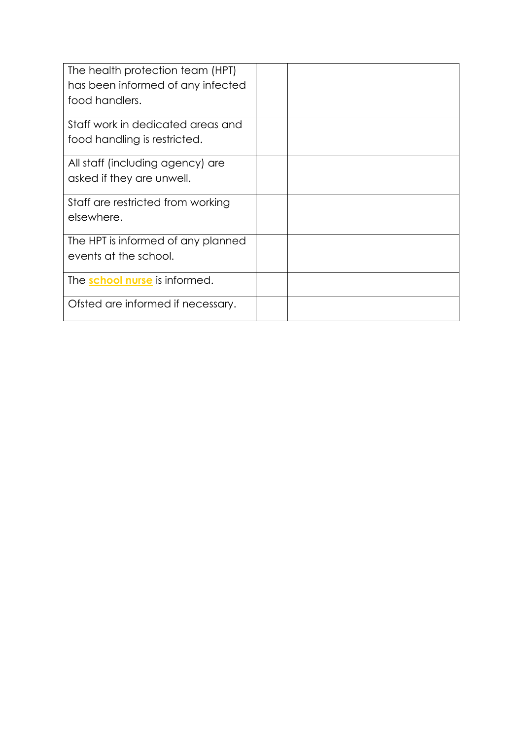| The health protection team (HPT)<br>has been informed of any infected<br>food handlers. |  |  |
|-----------------------------------------------------------------------------------------|--|--|
| Staff work in dedicated areas and<br>food handling is restricted.                       |  |  |
| All staff (including agency) are<br>asked if they are unwell.                           |  |  |
| Staff are restricted from working<br>elsewhere.                                         |  |  |
| The HPT is informed of any planned<br>events at the school.                             |  |  |
| The <b>school nurse</b> is informed.                                                    |  |  |
| Ofsted are informed if necessary.                                                       |  |  |